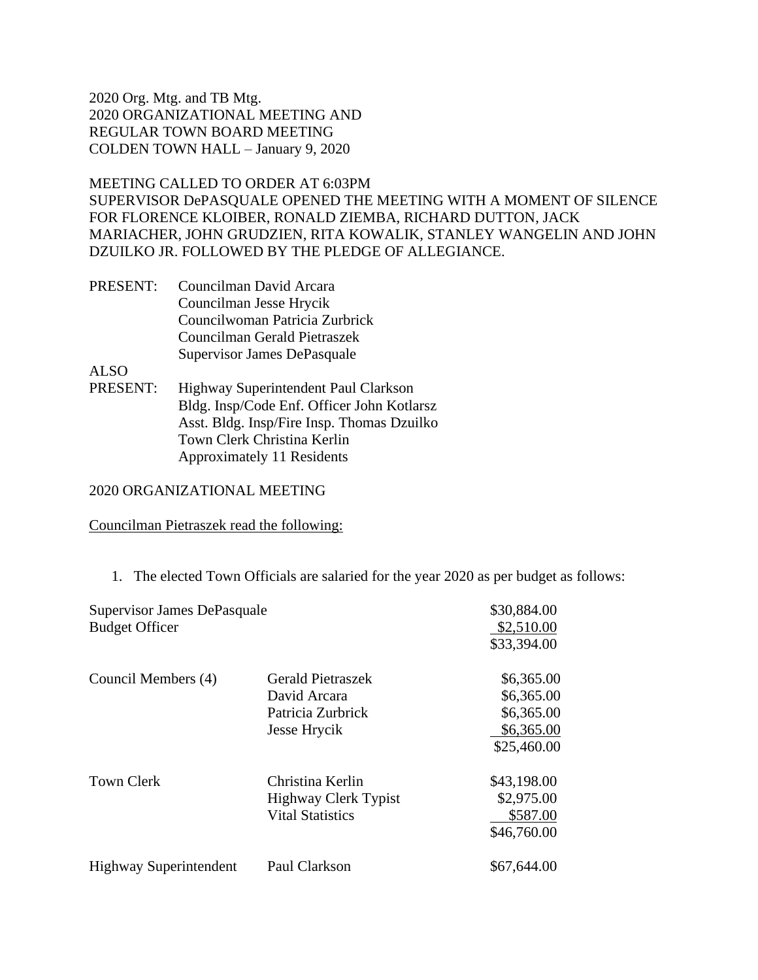# MEETING CALLED TO ORDER AT 6:03PM

SUPERVISOR DePASQUALE OPENED THE MEETING WITH A MOMENT OF SILENCE FOR FLORENCE KLOIBER, RONALD ZIEMBA, RICHARD DUTTON, JACK MARIACHER, JOHN GRUDZIEN, RITA KOWALIK, STANLEY WANGELIN AND JOHN DZUILKO JR. FOLLOWED BY THE PLEDGE OF ALLEGIANCE.

PRESENT: Councilman David Arcara Councilman Jesse Hrycik Councilwoman Patricia Zurbrick Councilman Gerald Pietraszek Supervisor James DePasquale

ALSO

PRESENT: Highway Superintendent Paul Clarkson Bldg. Insp/Code Enf. Officer John Kotlarsz Asst. Bldg. Insp/Fire Insp. Thomas Dzuilko Town Clerk Christina Kerlin Approximately 11 Residents

### 2020 ORGANIZATIONAL MEETING

### Councilman Pietraszek read the following:

|  |  | 1. The elected Town Officials are salaried for the year 2020 as per budget as follows: |  |  |  |  |
|--|--|----------------------------------------------------------------------------------------|--|--|--|--|
|--|--|----------------------------------------------------------------------------------------|--|--|--|--|

| Supervisor James DePasquale   |                          | \$30,884.00 |  |
|-------------------------------|--------------------------|-------------|--|
| <b>Budget Officer</b>         |                          | \$2,510.00  |  |
|                               |                          | \$33,394.00 |  |
| Council Members (4)           | <b>Gerald Pietraszek</b> | \$6,365.00  |  |
|                               | David Arcara             | \$6,365.00  |  |
|                               | Patricia Zurbrick        | \$6,365.00  |  |
|                               | Jesse Hrycik             | \$6,365.00  |  |
|                               |                          | \$25,460.00 |  |
| <b>Town Clerk</b>             | Christina Kerlin         | \$43,198.00 |  |
|                               | Highway Clerk Typist     | \$2,975.00  |  |
|                               | <b>Vital Statistics</b>  | \$587.00    |  |
|                               |                          | \$46,760.00 |  |
| <b>Highway Superintendent</b> | Paul Clarkson            | \$67,644.00 |  |
|                               |                          |             |  |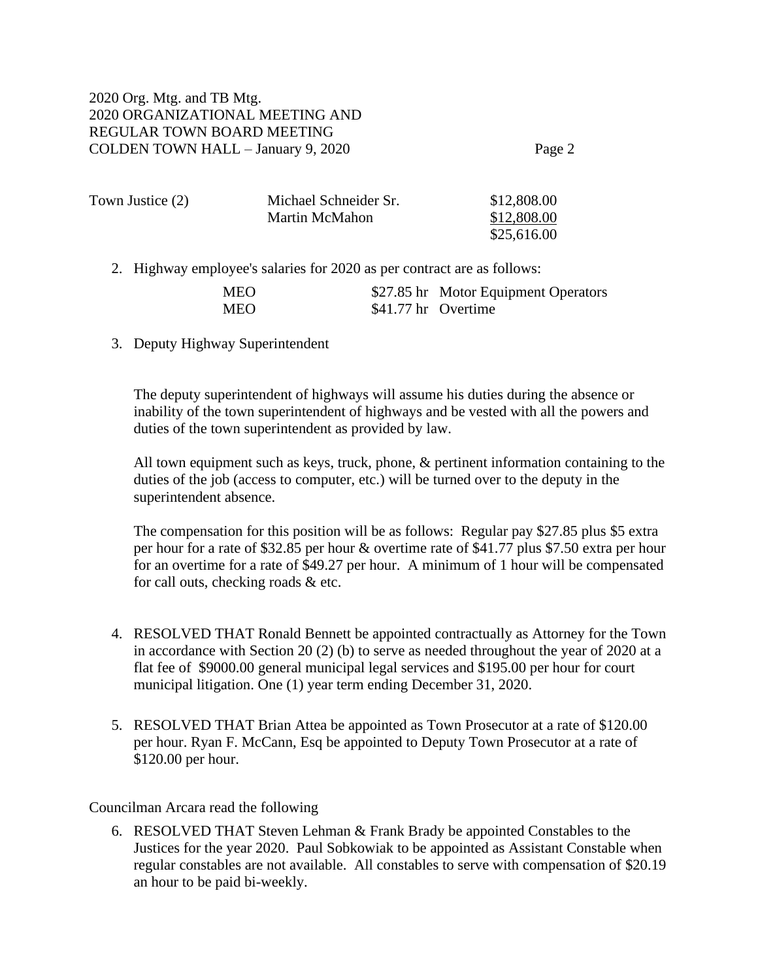| Town Justice (2) | Michael Schneider Sr. | \$12,808.00 |
|------------------|-----------------------|-------------|
|                  | Martin McMahon        | \$12,808.00 |
|                  |                       | \$25,616.00 |

2. Highway employee's salaries for 2020 as per contract are as follows:

| <b>MEO</b> |                     | \$27.85 hr Motor Equipment Operators |
|------------|---------------------|--------------------------------------|
| <b>MEO</b> | \$41.77 hr Overtime |                                      |

3. Deputy Highway Superintendent

The deputy superintendent of highways will assume his duties during the absence or inability of the town superintendent of highways and be vested with all the powers and duties of the town superintendent as provided by law.

All town equipment such as keys, truck, phone, & pertinent information containing to the duties of the job (access to computer, etc.) will be turned over to the deputy in the superintendent absence.

The compensation for this position will be as follows: Regular pay \$27.85 plus \$5 extra per hour for a rate of \$32.85 per hour & overtime rate of \$41.77 plus \$7.50 extra per hour for an overtime for a rate of \$49.27 per hour. A minimum of 1 hour will be compensated for call outs, checking roads & etc.

- 4. RESOLVED THAT Ronald Bennett be appointed contractually as Attorney for the Town in accordance with Section 20 (2) (b) to serve as needed throughout the year of 2020 at a flat fee of \$9000.00 general municipal legal services and \$195.00 per hour for court municipal litigation. One (1) year term ending December 31, 2020.
- 5. RESOLVED THAT Brian Attea be appointed as Town Prosecutor at a rate of \$120.00 per hour. Ryan F. McCann, Esq be appointed to Deputy Town Prosecutor at a rate of \$120.00 per hour.

Councilman Arcara read the following

6. RESOLVED THAT Steven Lehman & Frank Brady be appointed Constables to the Justices for the year 2020. Paul Sobkowiak to be appointed as Assistant Constable when regular constables are not available. All constables to serve with compensation of \$20.19 an hour to be paid bi-weekly.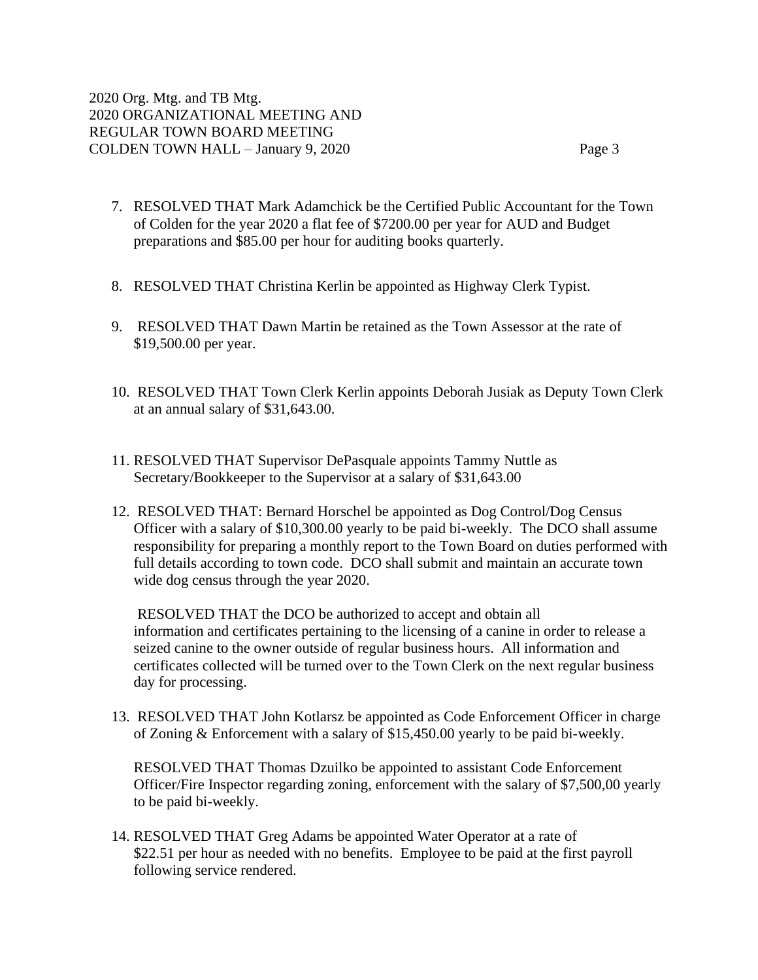- 7. RESOLVED THAT Mark Adamchick be the Certified Public Accountant for the Town of Colden for the year 2020 a flat fee of \$7200.00 per year for AUD and Budget preparations and \$85.00 per hour for auditing books quarterly.
- 8. RESOLVED THAT Christina Kerlin be appointed as Highway Clerk Typist.
- 9. RESOLVED THAT Dawn Martin be retained as the Town Assessor at the rate of \$19,500.00 per year.
- 10. RESOLVED THAT Town Clerk Kerlin appoints Deborah Jusiak as Deputy Town Clerk at an annual salary of \$31,643.00.
- 11. RESOLVED THAT Supervisor DePasquale appoints Tammy Nuttle as Secretary/Bookkeeper to the Supervisor at a salary of \$31,643.00
- 12. RESOLVED THAT: Bernard Horschel be appointed as Dog Control/Dog Census Officer with a salary of \$10,300.00 yearly to be paid bi-weekly. The DCO shall assume responsibility for preparing a monthly report to the Town Board on duties performed with full details according to town code. DCO shall submit and maintain an accurate town wide dog census through the year 2020.

RESOLVED THAT the DCO be authorized to accept and obtain all information and certificates pertaining to the licensing of a canine in order to release a seized canine to the owner outside of regular business hours. All information and certificates collected will be turned over to the Town Clerk on the next regular business day for processing.

13. RESOLVED THAT John Kotlarsz be appointed as Code Enforcement Officer in charge of Zoning & Enforcement with a salary of \$15,450.00 yearly to be paid bi-weekly.

RESOLVED THAT Thomas Dzuilko be appointed to assistant Code Enforcement Officer/Fire Inspector regarding zoning, enforcement with the salary of \$7,500,00 yearly to be paid bi-weekly.

14. RESOLVED THAT Greg Adams be appointed Water Operator at a rate of \$22.51 per hour as needed with no benefits. Employee to be paid at the first payroll following service rendered.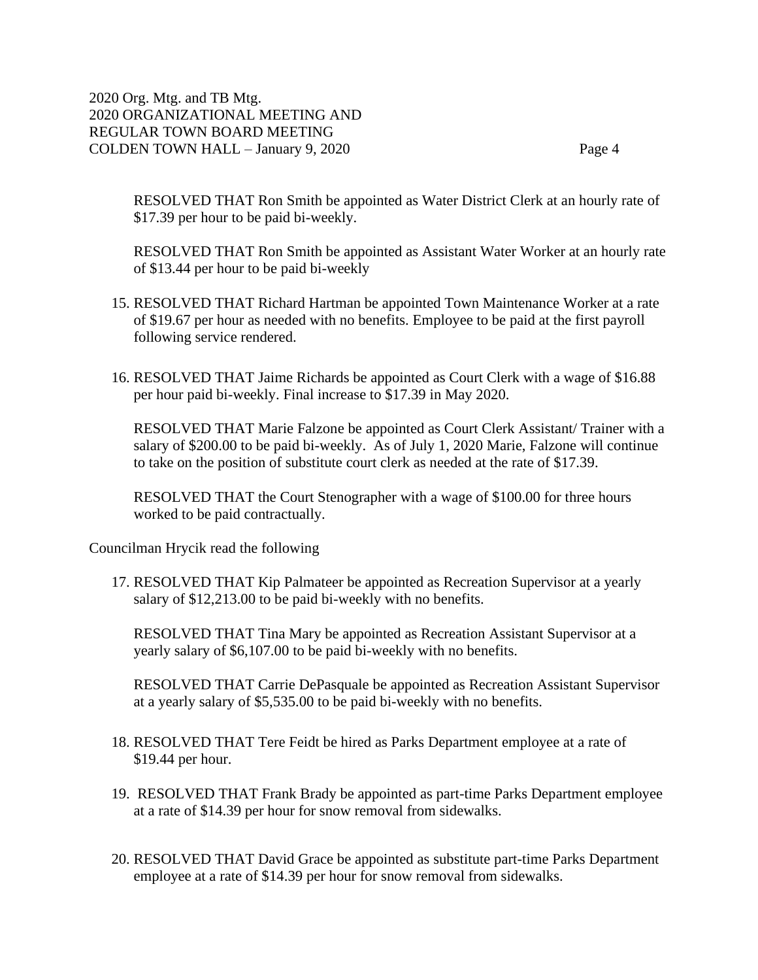RESOLVED THAT Ron Smith be appointed as Water District Clerk at an hourly rate of \$17.39 per hour to be paid bi-weekly.

RESOLVED THAT Ron Smith be appointed as Assistant Water Worker at an hourly rate of \$13.44 per hour to be paid bi-weekly

- 15. RESOLVED THAT Richard Hartman be appointed Town Maintenance Worker at a rate of \$19.67 per hour as needed with no benefits. Employee to be paid at the first payroll following service rendered.
- 16. RESOLVED THAT Jaime Richards be appointed as Court Clerk with a wage of \$16.88 per hour paid bi-weekly. Final increase to \$17.39 in May 2020.

RESOLVED THAT Marie Falzone be appointed as Court Clerk Assistant/ Trainer with a salary of \$200.00 to be paid bi-weekly. As of July 1, 2020 Marie, Falzone will continue to take on the position of substitute court clerk as needed at the rate of \$17.39.

RESOLVED THAT the Court Stenographer with a wage of \$100.00 for three hours worked to be paid contractually.

Councilman Hrycik read the following

17. RESOLVED THAT Kip Palmateer be appointed as Recreation Supervisor at a yearly salary of \$12,213.00 to be paid bi-weekly with no benefits.

RESOLVED THAT Tina Mary be appointed as Recreation Assistant Supervisor at a yearly salary of \$6,107.00 to be paid bi-weekly with no benefits.

RESOLVED THAT Carrie DePasquale be appointed as Recreation Assistant Supervisor at a yearly salary of \$5,535.00 to be paid bi-weekly with no benefits.

- 18. RESOLVED THAT Tere Feidt be hired as Parks Department employee at a rate of \$19.44 per hour.
- 19. RESOLVED THAT Frank Brady be appointed as part-time Parks Department employee at a rate of \$14.39 per hour for snow removal from sidewalks.
- 20. RESOLVED THAT David Grace be appointed as substitute part-time Parks Department employee at a rate of \$14.39 per hour for snow removal from sidewalks.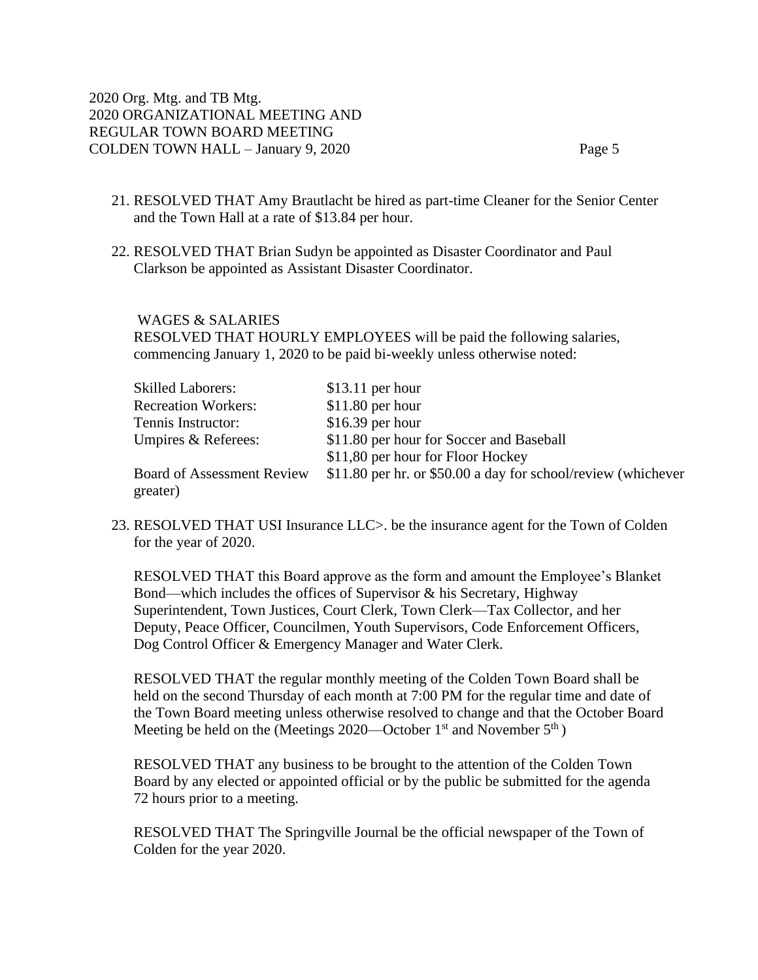- 21. RESOLVED THAT Amy Brautlacht be hired as part-time Cleaner for the Senior Center and the Town Hall at a rate of \$13.84 per hour.
- 22. RESOLVED THAT Brian Sudyn be appointed as Disaster Coordinator and Paul Clarkson be appointed as Assistant Disaster Coordinator.

WAGES & SALARIES

RESOLVED THAT HOURLY EMPLOYEES will be paid the following salaries, commencing January 1, 2020 to be paid bi-weekly unless otherwise noted:

| <b>Skilled Laborers:</b>          | $$13.11$ per hour                                             |
|-----------------------------------|---------------------------------------------------------------|
| <b>Recreation Workers:</b>        | $$11.80$ per hour                                             |
| Tennis Instructor:                | $$16.39$ per hour                                             |
| Umpires & Referees:               | \$11.80 per hour for Soccer and Baseball                      |
|                                   | \$11,80 per hour for Floor Hockey                             |
| <b>Board of Assessment Review</b> | \$11.80 per hr. or \$50.00 a day for school/review (whichever |
| greater)                          |                                                               |

23. RESOLVED THAT USI Insurance LLC>. be the insurance agent for the Town of Colden for the year of 2020.

RESOLVED THAT this Board approve as the form and amount the Employee's Blanket Bond—which includes the offices of Supervisor & his Secretary, Highway Superintendent, Town Justices, Court Clerk, Town Clerk—Tax Collector, and her Deputy, Peace Officer, Councilmen, Youth Supervisors, Code Enforcement Officers, Dog Control Officer & Emergency Manager and Water Clerk.

RESOLVED THAT the regular monthly meeting of the Colden Town Board shall be held on the second Thursday of each month at 7:00 PM for the regular time and date of the Town Board meeting unless otherwise resolved to change and that the October Board Meeting be held on the (Meetings 2020—October  $1<sup>st</sup>$  and November  $5<sup>th</sup>$ )

RESOLVED THAT any business to be brought to the attention of the Colden Town Board by any elected or appointed official or by the public be submitted for the agenda 72 hours prior to a meeting.

RESOLVED THAT The Springville Journal be the official newspaper of the Town of Colden for the year 2020.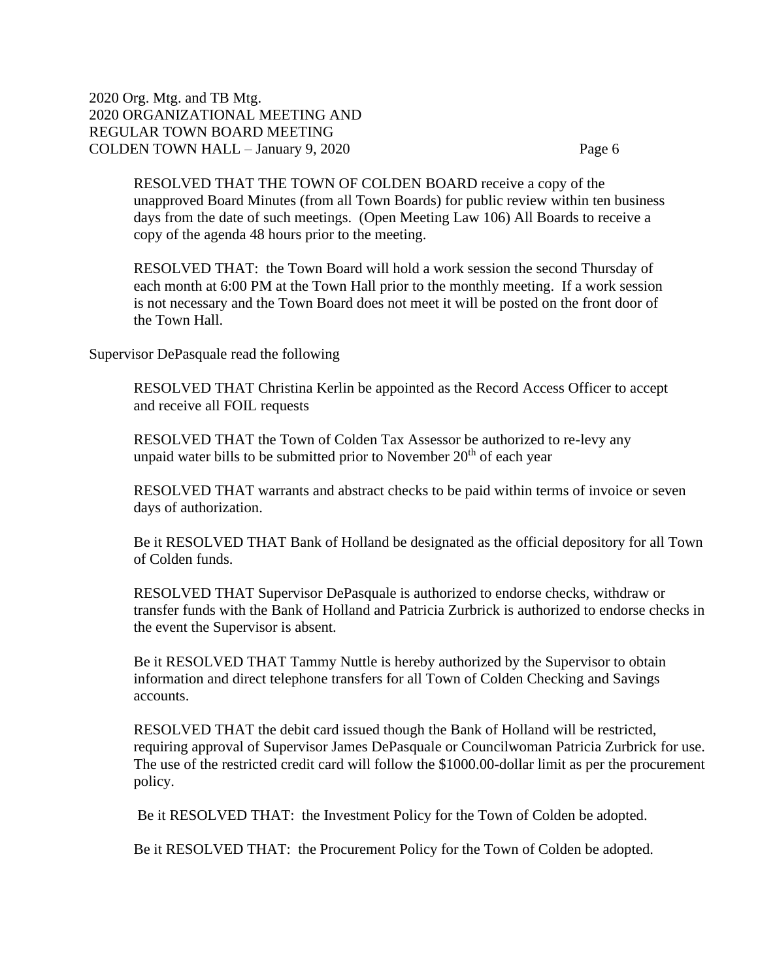RESOLVED THAT THE TOWN OF COLDEN BOARD receive a copy of the unapproved Board Minutes (from all Town Boards) for public review within ten business days from the date of such meetings. (Open Meeting Law 106) All Boards to receive a copy of the agenda 48 hours prior to the meeting.

RESOLVED THAT: the Town Board will hold a work session the second Thursday of each month at 6:00 PM at the Town Hall prior to the monthly meeting. If a work session is not necessary and the Town Board does not meet it will be posted on the front door of the Town Hall.

Supervisor DePasquale read the following

RESOLVED THAT Christina Kerlin be appointed as the Record Access Officer to accept and receive all FOIL requests

RESOLVED THAT the Town of Colden Tax Assessor be authorized to re-levy any unpaid water bills to be submitted prior to November  $20<sup>th</sup>$  of each year

RESOLVED THAT warrants and abstract checks to be paid within terms of invoice or seven days of authorization.

Be it RESOLVED THAT Bank of Holland be designated as the official depository for all Town of Colden funds.

RESOLVED THAT Supervisor DePasquale is authorized to endorse checks, withdraw or transfer funds with the Bank of Holland and Patricia Zurbrick is authorized to endorse checks in the event the Supervisor is absent.

Be it RESOLVED THAT Tammy Nuttle is hereby authorized by the Supervisor to obtain information and direct telephone transfers for all Town of Colden Checking and Savings accounts.

RESOLVED THAT the debit card issued though the Bank of Holland will be restricted, requiring approval of Supervisor James DePasquale or Councilwoman Patricia Zurbrick for use. The use of the restricted credit card will follow the \$1000.00-dollar limit as per the procurement policy.

Be it RESOLVED THAT: the Investment Policy for the Town of Colden be adopted.

Be it RESOLVED THAT: the Procurement Policy for the Town of Colden be adopted.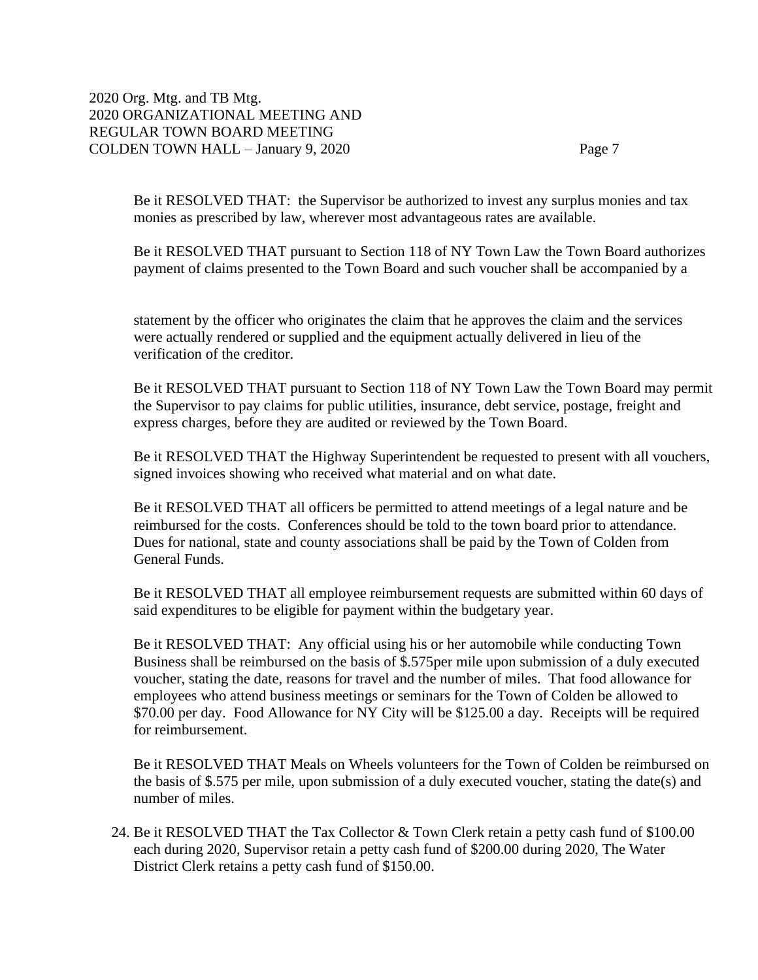Be it RESOLVED THAT: the Supervisor be authorized to invest any surplus monies and tax monies as prescribed by law, wherever most advantageous rates are available.

Be it RESOLVED THAT pursuant to Section 118 of NY Town Law the Town Board authorizes payment of claims presented to the Town Board and such voucher shall be accompanied by a

statement by the officer who originates the claim that he approves the claim and the services were actually rendered or supplied and the equipment actually delivered in lieu of the verification of the creditor.

Be it RESOLVED THAT pursuant to Section 118 of NY Town Law the Town Board may permit the Supervisor to pay claims for public utilities, insurance, debt service, postage, freight and express charges, before they are audited or reviewed by the Town Board.

Be it RESOLVED THAT the Highway Superintendent be requested to present with all vouchers, signed invoices showing who received what material and on what date.

Be it RESOLVED THAT all officers be permitted to attend meetings of a legal nature and be reimbursed for the costs. Conferences should be told to the town board prior to attendance. Dues for national, state and county associations shall be paid by the Town of Colden from General Funds.

Be it RESOLVED THAT all employee reimbursement requests are submitted within 60 days of said expenditures to be eligible for payment within the budgetary year.

Be it RESOLVED THAT: Any official using his or her automobile while conducting Town Business shall be reimbursed on the basis of \$.575per mile upon submission of a duly executed voucher, stating the date, reasons for travel and the number of miles. That food allowance for employees who attend business meetings or seminars for the Town of Colden be allowed to \$70.00 per day. Food Allowance for NY City will be \$125.00 a day. Receipts will be required for reimbursement.

Be it RESOLVED THAT Meals on Wheels volunteers for the Town of Colden be reimbursed on the basis of \$.575 per mile, upon submission of a duly executed voucher, stating the date(s) and number of miles.

24. Be it RESOLVED THAT the Tax Collector & Town Clerk retain a petty cash fund of \$100.00 each during 2020, Supervisor retain a petty cash fund of \$200.00 during 2020, The Water District Clerk retains a petty cash fund of \$150.00.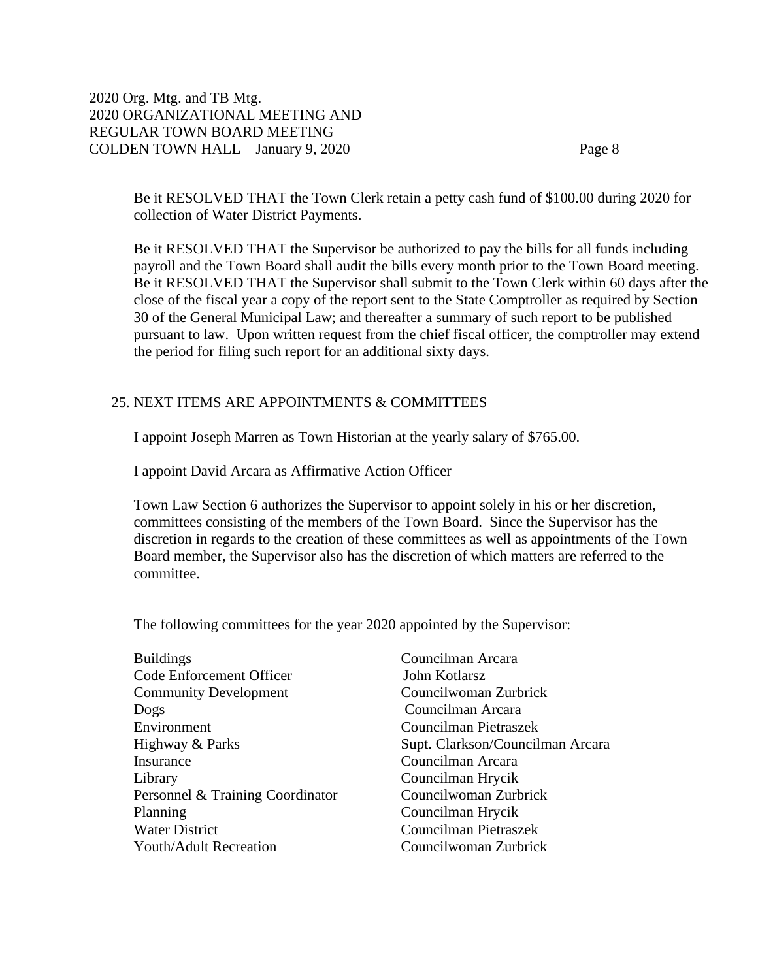Be it RESOLVED THAT the Town Clerk retain a petty cash fund of \$100.00 during 2020 for collection of Water District Payments.

Be it RESOLVED THAT the Supervisor be authorized to pay the bills for all funds including payroll and the Town Board shall audit the bills every month prior to the Town Board meeting. Be it RESOLVED THAT the Supervisor shall submit to the Town Clerk within 60 days after the close of the fiscal year a copy of the report sent to the State Comptroller as required by Section 30 of the General Municipal Law; and thereafter a summary of such report to be published pursuant to law. Upon written request from the chief fiscal officer, the comptroller may extend the period for filing such report for an additional sixty days.

# 25. NEXT ITEMS ARE APPOINTMENTS & COMMITTEES

I appoint Joseph Marren as Town Historian at the yearly salary of \$765.00.

I appoint David Arcara as Affirmative Action Officer

Town Law Section 6 authorizes the Supervisor to appoint solely in his or her discretion, committees consisting of the members of the Town Board. Since the Supervisor has the discretion in regards to the creation of these committees as well as appointments of the Town Board member, the Supervisor also has the discretion of which matters are referred to the committee.

The following committees for the year 2020 appointed by the Supervisor:

| <b>Buildings</b>                 |
|----------------------------------|
| Code Enforcement Officer         |
| <b>Community Development</b>     |
| Dogs                             |
| Environment                      |
| Highway & Parks                  |
| Insurance                        |
| Library                          |
| Personnel & Training Coordinator |
| Planning                         |
| <b>Water District</b>            |
| Youth/Adult Recreation           |

Councilman Arcara John Kotlarsz Councilwoman Zurbrick Councilman Arcara Councilman Pietraszek Supt. Clarkson/Councilman Arcara Councilman Arcara Councilman Hrycik Councilwoman Zurbrick Councilman Hrycik Councilman Pietraszek Council woman Zurbrick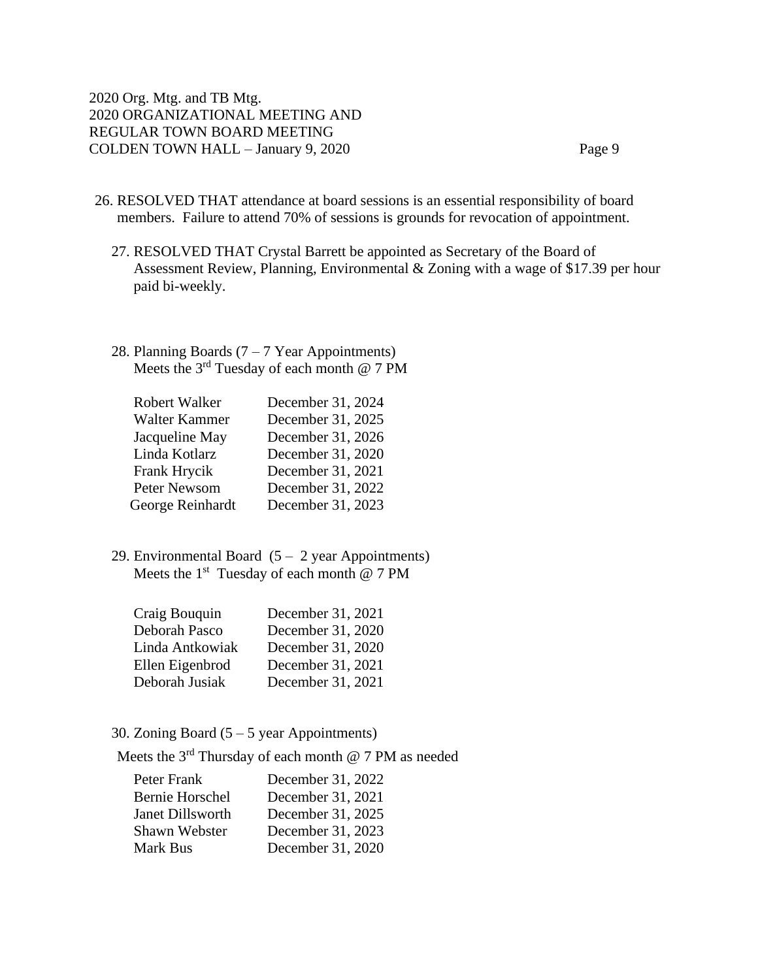- 26. RESOLVED THAT attendance at board sessions is an essential responsibility of board members. Failure to attend 70% of sessions is grounds for revocation of appointment.
	- 27. RESOLVED THAT Crystal Barrett be appointed as Secretary of the Board of Assessment Review, Planning, Environmental & Zoning with a wage of \$17.39 per hour paid bi-weekly.
	- 28. Planning Boards  $(7 7$  Year Appointments) Meets the 3<sup>rd</sup> Tuesday of each month @ 7 PM

| Robert Walker       | December 31, 2024 |
|---------------------|-------------------|
| Walter Kammer       | December 31, 2025 |
| Jacqueline May      | December 31, 2026 |
| Linda Kotlarz       | December 31, 2020 |
| Frank Hrycik        | December 31, 2021 |
| <b>Peter Newsom</b> | December 31, 2022 |
| George Reinhardt    | December 31, 2023 |

29. Environmental Board  $(5 - 2 \text{ year}$  Appointments) Meets the  $1<sup>st</sup>$  Tuesday of each month @ 7 PM

| December 31, 2021 |
|-------------------|
| December 31, 2020 |
| December 31, 2020 |
| December 31, 2021 |
| December 31, 2021 |
|                   |

30. Zoning Board (5 – 5 year Appointments)

Meets the 3rd Thursday of each month @ 7 PM as needed

| Peter Frank            | December 31, 2022 |
|------------------------|-------------------|
| <b>Bernie Horschel</b> | December 31, 2021 |
| Janet Dillsworth       | December 31, 2025 |
| Shawn Webster          | December 31, 2023 |
| Mark Bus               | December 31, 2020 |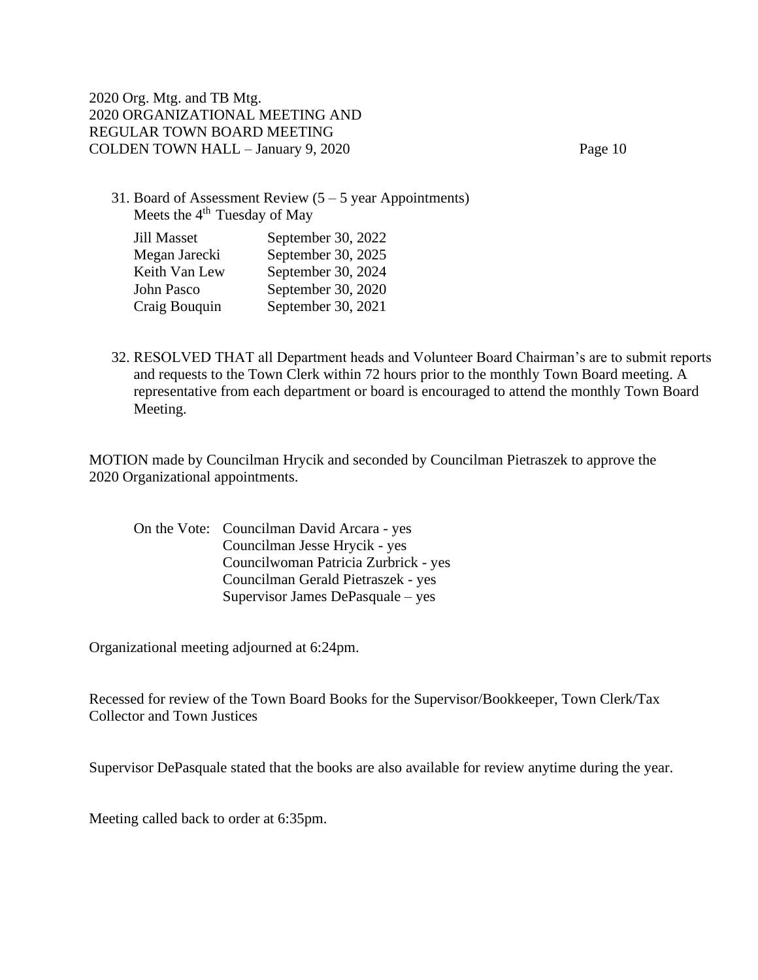31. Board of Assessment Review  $(5 – 5$  year Appointments) Meets the  $4<sup>th</sup>$  Tuesday of May

| September 30, 2022 |
|--------------------|
| September 30, 2025 |
| September 30, 2024 |
| September 30, 2020 |
| September 30, 2021 |
|                    |

32. RESOLVED THAT all Department heads and Volunteer Board Chairman's are to submit reports and requests to the Town Clerk within 72 hours prior to the monthly Town Board meeting. A representative from each department or board is encouraged to attend the monthly Town Board Meeting.

MOTION made by Councilman Hrycik and seconded by Councilman Pietraszek to approve the 2020 Organizational appointments.

On the Vote: Councilman David Arcara - yes Councilman Jesse Hrycik - yes Councilwoman Patricia Zurbrick - yes Councilman Gerald Pietraszek - yes Supervisor James DePasquale – yes

Organizational meeting adjourned at 6:24pm.

Recessed for review of the Town Board Books for the Supervisor/Bookkeeper, Town Clerk/Tax Collector and Town Justices

Supervisor DePasquale stated that the books are also available for review anytime during the year.

Meeting called back to order at 6:35pm.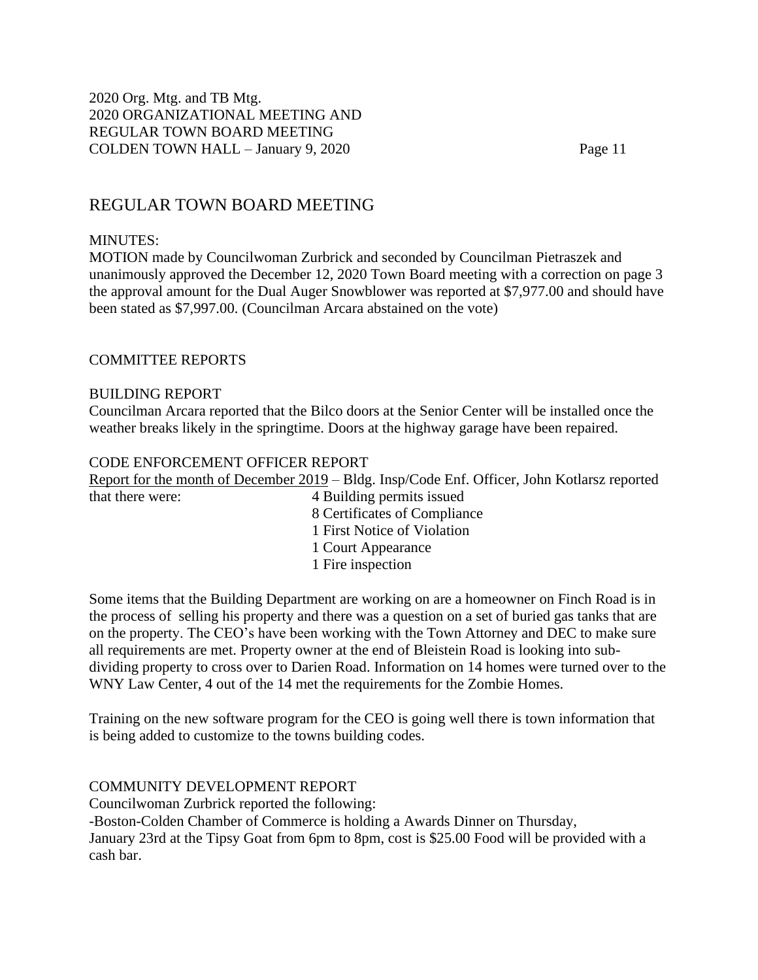# REGULAR TOWN BOARD MEETING

# MINUTES:

MOTION made by Councilwoman Zurbrick and seconded by Councilman Pietraszek and unanimously approved the December 12, 2020 Town Board meeting with a correction on page 3 the approval amount for the Dual Auger Snowblower was reported at \$7,977.00 and should have been stated as \$7,997.00. (Councilman Arcara abstained on the vote)

# COMMITTEE REPORTS

### BUILDING REPORT

Councilman Arcara reported that the Bilco doors at the Senior Center will be installed once the weather breaks likely in the springtime. Doors at the highway garage have been repaired.

### CODE ENFORCEMENT OFFICER REPORT

Report for the month of December 2019 – Bldg. Insp/Code Enf. Officer, John Kotlarsz reported that there were: 4 Building permits issued 8 Certificates of Compliance 1 First Notice of Violation 1 Court Appearance

1 Fire inspection

Some items that the Building Department are working on are a homeowner on Finch Road is in the process of selling his property and there was a question on a set of buried gas tanks that are on the property. The CEO's have been working with the Town Attorney and DEC to make sure all requirements are met. Property owner at the end of Bleistein Road is looking into subdividing property to cross over to Darien Road. Information on 14 homes were turned over to the WNY Law Center, 4 out of the 14 met the requirements for the Zombie Homes.

Training on the new software program for the CEO is going well there is town information that is being added to customize to the towns building codes.

### COMMUNITY DEVELOPMENT REPORT

Councilwoman Zurbrick reported the following:

-Boston-Colden Chamber of Commerce is holding a Awards Dinner on Thursday,

January 23rd at the Tipsy Goat from 6pm to 8pm, cost is \$25.00 Food will be provided with a cash bar.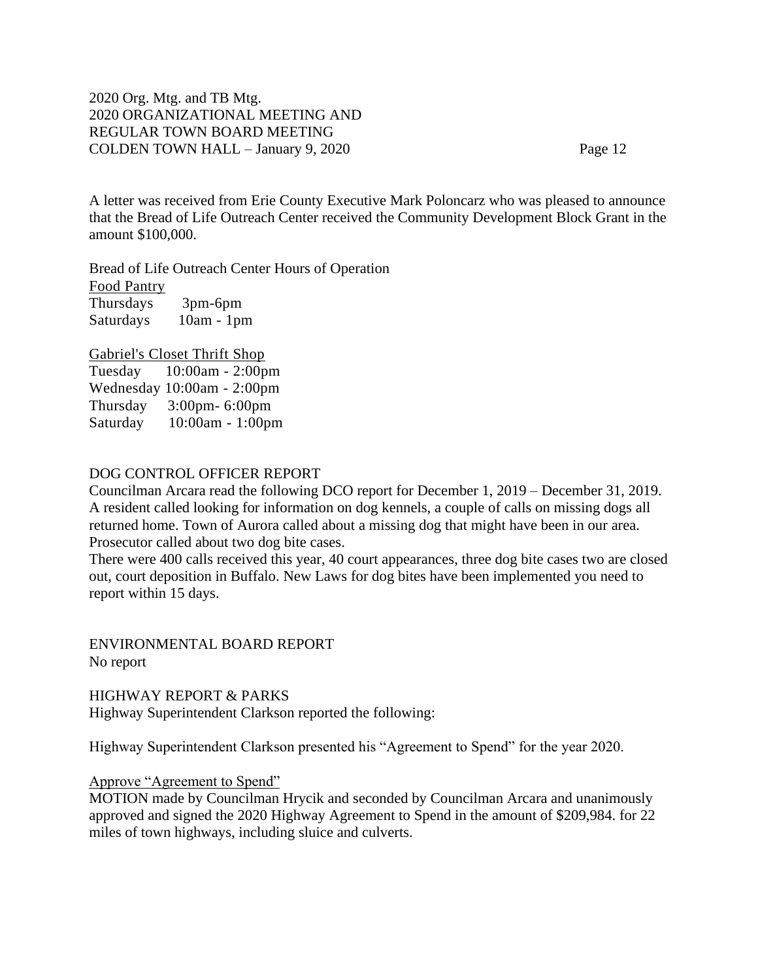A letter was received from Erie County Executive Mark Poloncarz who was pleased to announce that the Bread of Life Outreach Center received the Community Development Block Grant in the amount \$100,000.

Bread of Life Outreach Center Hours of Operation Food Pantry Thursdays 3pm-6pm Saturdays 10am - 1pm

Gabriel's Closet Thrift Shop

Tuesday 10:00am - 2:00pm Wednesday 10:00am - 2:00pm Thursday 3:00pm- 6:00pm Saturday 10:00am - 1:00pm

# DOG CONTROL OFFICER REPORT

Councilman Arcara read the following DCO report for December 1, 2019 – December 31, 2019. A resident called looking for information on dog kennels, a couple of calls on missing dogs all returned home. Town of Aurora called about a missing dog that might have been in our area. Prosecutor called about two dog bite cases.

There were 400 calls received this year, 40 court appearances, three dog bite cases two are closed out, court deposition in Buffalo. New Laws for dog bites have been implemented you need to report within 15 days.

ENVIRONMENTAL BOARD REPORT No report

HIGHWAY REPORT & PARKS Highway Superintendent Clarkson reported the following:

Highway Superintendent Clarkson presented his "Agreement to Spend" for the year 2020.

### Approve "Agreement to Spend"

MOTION made by Councilman Hrycik and seconded by Councilman Arcara and unanimously approved and signed the 2020 Highway Agreement to Spend in the amount of \$209,984. for 22 miles of town highways, including sluice and culverts.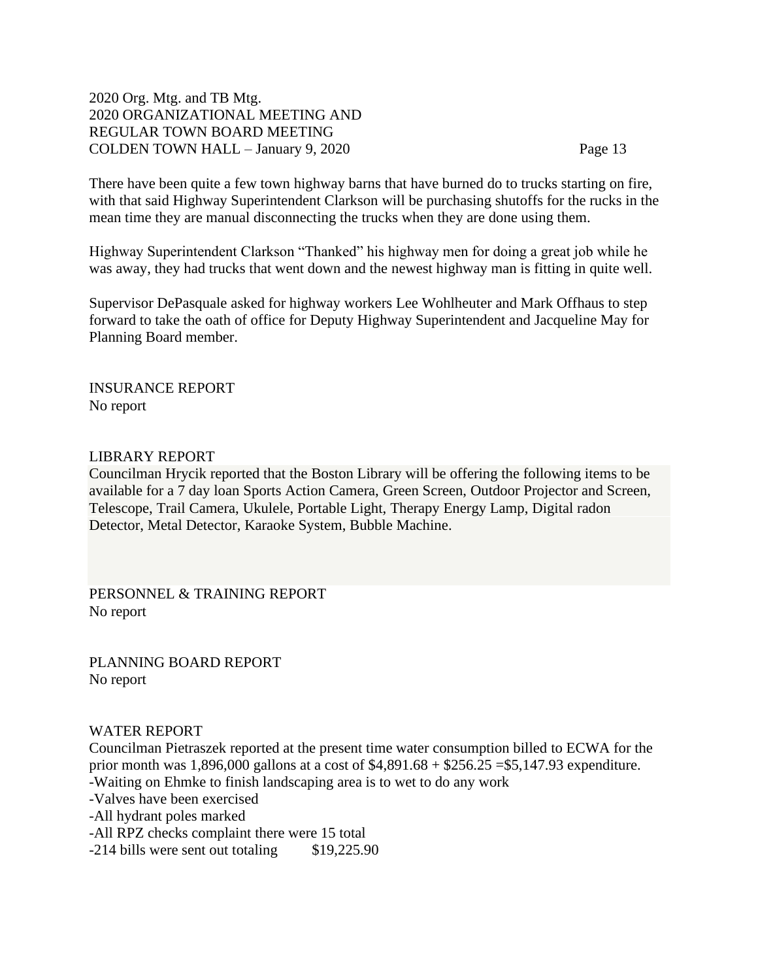There have been quite a few town highway barns that have burned do to trucks starting on fire, with that said Highway Superintendent Clarkson will be purchasing shutoffs for the rucks in the mean time they are manual disconnecting the trucks when they are done using them.

Highway Superintendent Clarkson "Thanked" his highway men for doing a great job while he was away, they had trucks that went down and the newest highway man is fitting in quite well.

Supervisor DePasquale asked for highway workers Lee Wohlheuter and Mark Offhaus to step forward to take the oath of office for Deputy Highway Superintendent and Jacqueline May for Planning Board member.

INSURANCE REPORT No report

### LIBRARY REPORT

Councilman Hrycik reported that the Boston Library will be offering the following items to be available for a 7 day loan Sports Action Camera, Green Screen, Outdoor Projector and Screen, Telescope, Trail Camera, Ukulele, Portable Light, Therapy Energy Lamp, Digital radon Detector, Metal Detector, Karaoke System, Bubble Machine.

PERSONNEL & TRAINING REPORT No report

PLANNING BOARD REPORT No report

### WATER REPORT

Councilman Pietraszek reported at the present time water consumption billed to ECWA for the prior month was 1,896,000 gallons at a cost of \$4,891.68 + \$256.25 =\$5,147.93 expenditure. -Waiting on Ehmke to finish landscaping area is to wet to do any work -Valves have been exercised -All hydrant poles marked

-All RPZ checks complaint there were 15 total

-214 bills were sent out totaling \$19,225.90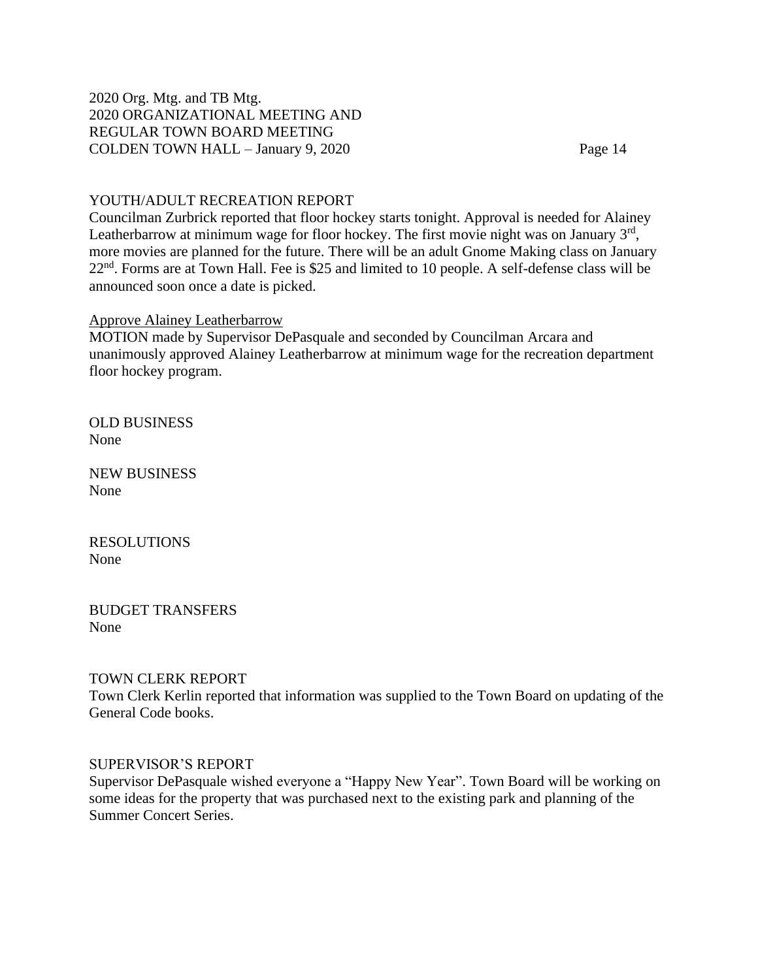### YOUTH/ADULT RECREATION REPORT

Councilman Zurbrick reported that floor hockey starts tonight. Approval is needed for Alainey Leatherbarrow at minimum wage for floor hockey. The first movie night was on January  $3<sup>rd</sup>$ , more movies are planned for the future. There will be an adult Gnome Making class on January 22nd. Forms are at Town Hall. Fee is \$25 and limited to 10 people. A self-defense class will be announced soon once a date is picked.

### Approve Alainey Leatherbarrow

MOTION made by Supervisor DePasquale and seconded by Councilman Arcara and unanimously approved Alainey Leatherbarrow at minimum wage for the recreation department floor hockey program.

OLD BUSINESS None

NEW BUSINESS None

RESOLUTIONS None

BUDGET TRANSFERS None

### TOWN CLERK REPORT

Town Clerk Kerlin reported that information was supplied to the Town Board on updating of the General Code books.

### SUPERVISOR'S REPORT

Supervisor DePasquale wished everyone a "Happy New Year". Town Board will be working on some ideas for the property that was purchased next to the existing park and planning of the Summer Concert Series.